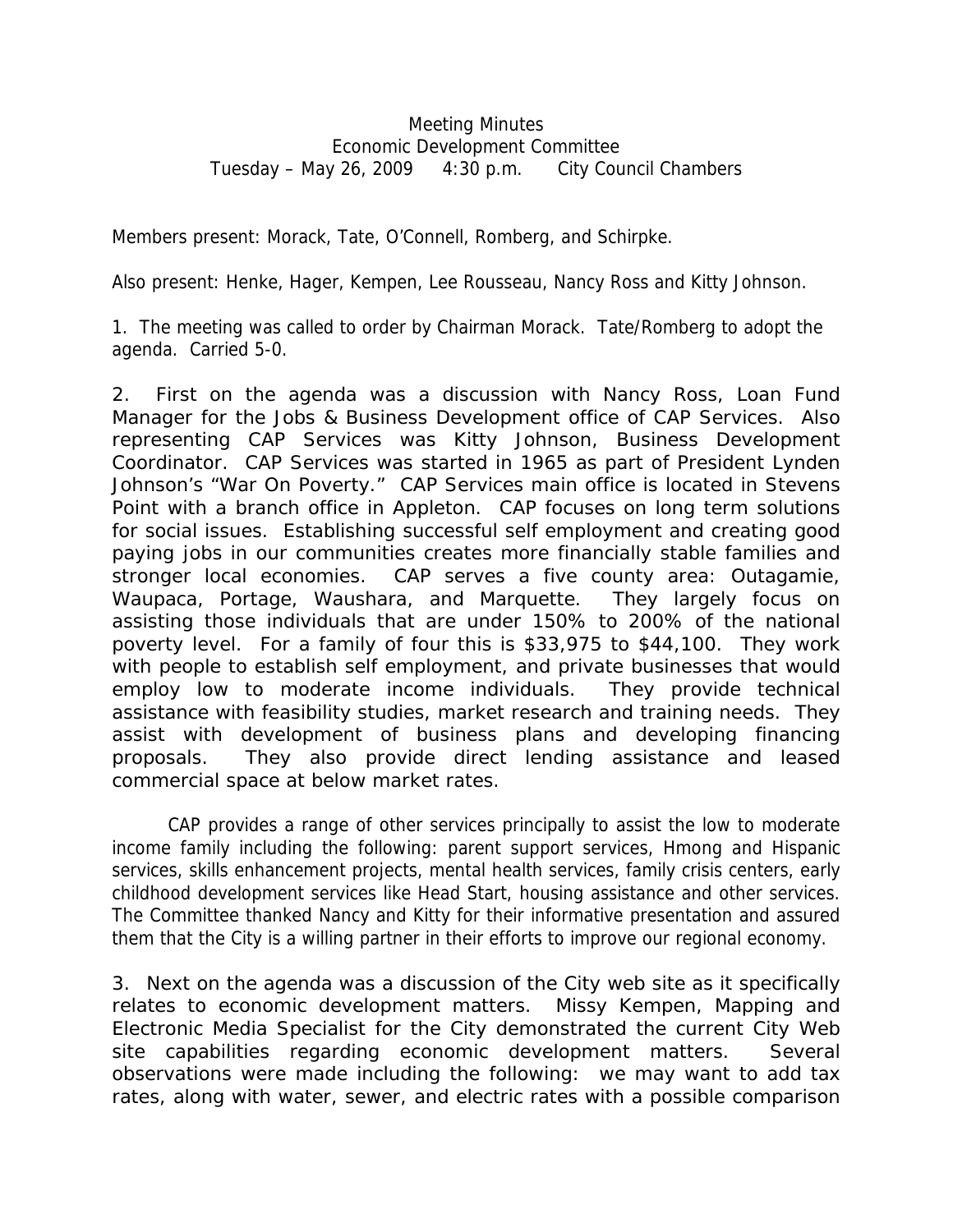## Meeting Minutes Economic Development Committee Tuesday – May 26, 2009 4:30 p.m. City Council Chambers

Members present: Morack, Tate, O'Connell, Romberg, and Schirpke.

Also present: Henke, Hager, Kempen, Lee Rousseau, Nancy Ross and Kitty Johnson.

1. The meeting was called to order by Chairman Morack. Tate/Romberg to adopt the agenda. Carried 5-0.

2. First on the agenda was a discussion with Nancy Ross, Loan Fund Manager for the Jobs & Business Development office of CAP Services. Also representing CAP Services was Kitty Johnson, Business Development Coordinator. CAP Services was started in 1965 as part of President Lynden Johnson's "War On Poverty." CAP Services main office is located in Stevens Point with a branch office in Appleton. CAP focuses on long term solutions for social issues. Establishing successful self employment and creating good paying jobs in our communities creates more financially stable families and stronger local economies. CAP serves a five county area: Outagamie, Waupaca, Portage, Waushara, and Marquette. They largely focus on assisting those individuals that are under 150% to 200% of the national poverty level. For a family of four this is \$33,975 to \$44,100. They work with people to establish self employment, and private businesses that would employ low to moderate income individuals. They provide technical assistance with feasibility studies, market research and training needs. They assist with development of business plans and developing financing proposals. They also provide direct lending assistance and leased commercial space at below market rates.

 CAP provides a range of other services principally to assist the low to moderate income family including the following: parent support services, Hmong and Hispanic services, skills enhancement projects, mental health services, family crisis centers, early childhood development services like Head Start, housing assistance and other services. The Committee thanked Nancy and Kitty for their informative presentation and assured them that the City is a willing partner in their efforts to improve our regional economy.

3. Next on the agenda was a discussion of the City web site as it specifically relates to economic development matters. Missy Kempen, Mapping and Electronic Media Specialist for the City demonstrated the current City Web site capabilities regarding economic development matters. Several observations were made including the following: we may want to add tax rates, along with water, sewer, and electric rates with a possible comparison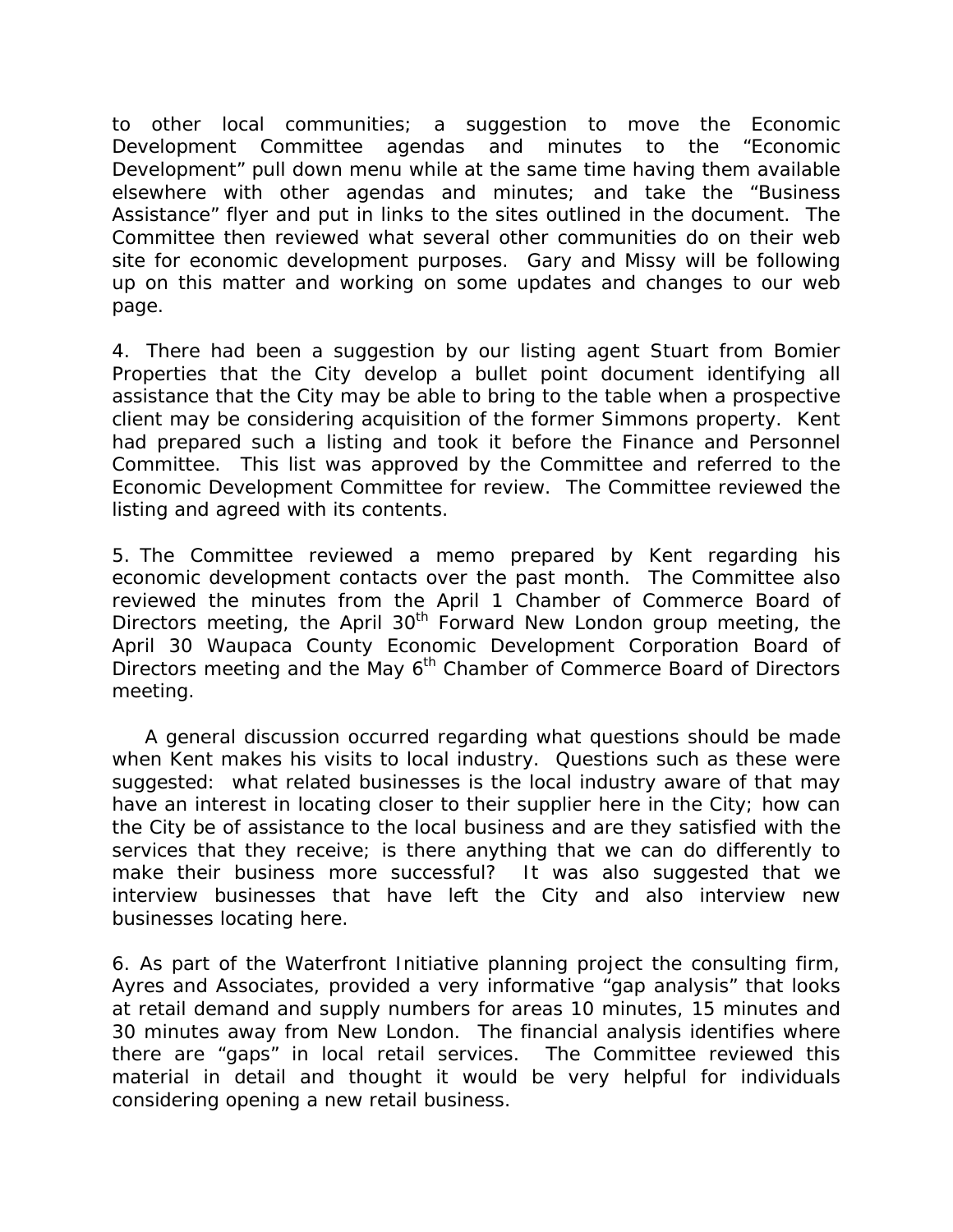to other local communities; a suggestion to move the Economic Development Committee agendas and minutes to the "Economic Development" pull down menu while at the same time having them available elsewhere with other agendas and minutes; and take the "Business Assistance" flyer and put in links to the sites outlined in the document. The Committee then reviewed what several other communities do on their web site for economic development purposes. Gary and Missy will be following up on this matter and working on some updates and changes to our web page.

4. There had been a suggestion by our listing agent Stuart from Bomier Properties that the City develop a bullet point document identifying all assistance that the City may be able to bring to the table when a prospective client may be considering acquisition of the former Simmons property. Kent had prepared such a listing and took it before the Finance and Personnel Committee. This list was approved by the Committee and referred to the Economic Development Committee for review. The Committee reviewed the listing and agreed with its contents.

5. The Committee reviewed a memo prepared by Kent regarding his economic development contacts over the past month. The Committee also reviewed the minutes from the April 1 Chamber of Commerce Board of Directors meeting, the April  $30<sup>th</sup>$  Forward New London group meeting, the April 30 Waupaca County Economic Development Corporation Board of Directors meeting and the May 6<sup>th</sup> Chamber of Commerce Board of Directors meeting.

 A general discussion occurred regarding what questions should be made when Kent makes his visits to local industry. Questions such as these were suggested: what related businesses is the local industry aware of that may have an interest in locating closer to their supplier here in the City; how can the City be of assistance to the local business and are they satisfied with the services that they receive; is there anything that we can do differently to make their business more successful? It was also suggested that we interview businesses that have left the City and also interview new businesses locating here.

6. As part of the Waterfront Initiative planning project the consulting firm, Ayres and Associates, provided a very informative "gap analysis" that looks at retail demand and supply numbers for areas 10 minutes, 15 minutes and 30 minutes away from New London. The financial analysis identifies where there are "gaps" in local retail services. The Committee reviewed this material in detail and thought it would be very helpful for individuals considering opening a new retail business.